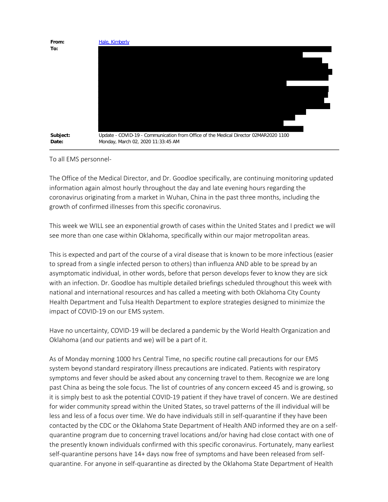

To all EMS personnel-

The Office of the Medical Director, and Dr. Goodloe specifically, are continuing monitoring updated information again almost hourly throughout the day and late evening hours regarding the coronavirus originating from a market in Wuhan, China in the past three months, including the growth of confirmed illnesses from this specific coronavirus.

This week we WILL see an exponential growth of cases within the United States and I predict we will see more than one case within Oklahoma, specifically within our major metropolitan areas.

This is expected and part of the course of a viral disease that is known to be more infectious (easier to spread from a single infected person to others) than influenza AND able to be spread by an asymptomatic individual, in other words, before that person develops fever to know they are sick with an infection. Dr. Goodloe has multiple detailed briefings scheduled throughout this week with national and international resources and has called a meeting with both Oklahoma City County Health Department and Tulsa Health Department to explore strategies designed to minimize the impact of COVID-19 on our EMS system.

Have no uncertainty, COVID-19 will be declared a pandemic by the World Health Organization and Oklahoma (and our patients and we) will be a part of it.

As of Monday morning 1000 hrs Central Time, no specific routine call precautions for our EMS system beyond standard respiratory illness precautions are indicated. Patients with respiratory symptoms and fever should be asked about any concerning travel to them. Recognize we are long past China as being the sole focus. The list of countries of any concern exceed 45 and is growing, so it is simply best to ask the potential COVID-19 patient if they have travel of concern. We are destined for wider community spread within the United States, so travel patterns of the ill individual will be less and less of a focus over time. We do have individuals still in self-quarantine if they have been contacted by the CDC or the Oklahoma State Department of Health AND informed they are on a selfquarantine program due to concerning travel locations and/or having had close contact with one of the presently known individuals confirmed with this specific coronavirus. Fortunately, many earliest self-quarantine persons have 14+ days now free of symptoms and have been released from selfquarantine. For anyone in self-quarantine as directed by the Oklahoma State Department of Health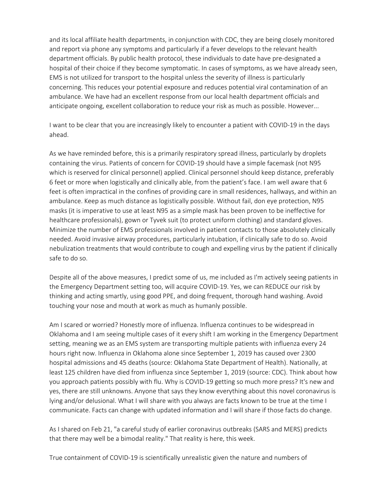and its local affiliate health departments, in conjunction with CDC, they are being closely monitored and report via phone any symptoms and particularly if a fever develops to the relevant health department officials. By public health protocol, these individuals to date have pre-designated a hospital of their choice if they become symptomatic. In cases of symptoms, as we have already seen, EMS is not utilized for transport to the hospital unless the severity of illness is particularly concerning. This reduces your potential exposure and reduces potential viral contamination of an ambulance. We have had an excellent response from our local health department officials and anticipate ongoing, excellent collaboration to reduce your risk as much as possible. However...

I want to be clear that you are increasingly likely to encounter a patient with COVID-19 in the days ahead.

As we have reminded before, this is a primarily respiratory spread illness, particularly by droplets containing the virus. Patients of concern for COVID-19 should have a simple facemask (not N95 which is reserved for clinical personnel) applied. Clinical personnel should keep distance, preferably 6 feet or more when logistically and clinically able, from the patient's face. I am well aware that 6 feet is often impractical in the confines of providing care in small residences, hallways, and within an ambulance. Keep as much distance as logistically possible. Without fail, don eye protection, N95 masks (it is imperative to use at least N95 as a simple mask has been proven to be ineffective for healthcare professionals), gown or Tyvek suit (to protect uniform clothing) and standard gloves. Minimize the number of EMS professionals involved in patient contacts to those absolutely clinically needed. Avoid invasive airway procedures, particularly intubation, if clinically safe to do so. Avoid nebulization treatments that would contribute to cough and expelling virus by the patient if clinically safe to do so.

Despite all of the above measures, I predict some of us, me included as I'm actively seeing patients in the Emergency Department setting too, will acquire COVID-19. Yes, we can REDUCE our risk by thinking and acting smartly, using good PPE, and doing frequent, thorough hand washing. Avoid touching your nose and mouth at work as much as humanly possible.

Am I scared or worried? Honestly more of influenza. Influenza continues to be widespread in Oklahoma and I am seeing multiple cases of it every shift I am working in the Emergency Department setting, meaning we as an EMS system are transporting multiple patients with influenza every 24 hours right now. Influenza in Oklahoma alone since September 1, 2019 has caused over 2300 hospital admissions and 45 deaths (source: Oklahoma State Department of Health). Nationally, at least 125 children have died from influenza since September 1, 2019 (source: CDC). Think about how you approach patients possibly with flu. Why is COVID-19 getting so much more press? It's new and yes, there are still unknowns. Anyone that says they know everything about this novel coronavirus is lying and/or delusional. What I will share with you always are facts known to be true at the time I communicate. Facts can change with updated information and I will share if those facts do change.

As I shared on Feb 21, "a careful study of earlier coronavirus outbreaks (SARS and MERS) predicts that there may well be a bimodal reality." That reality is here, this week.

True containment of COVID-19 is scientifically unrealistic given the nature and numbers of